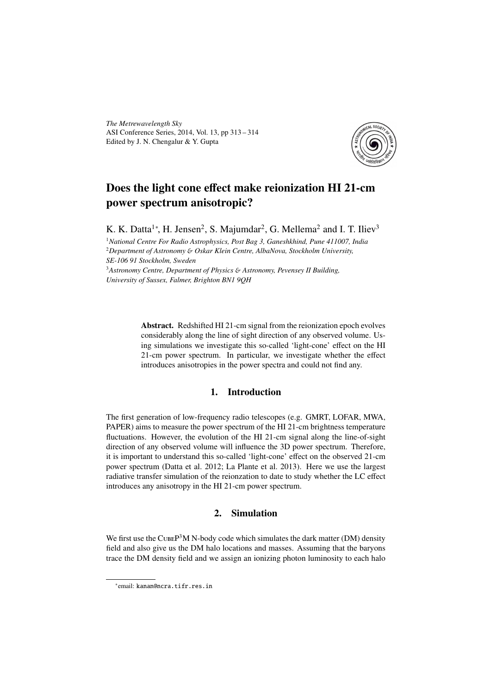*The Metrewavelength Sky* ASI Conference Series, 2014, Vol. 13, pp 313 – 314 Edited by J. N. Chengalur & Y. Gupta



# Does the light cone effect make reionization HI 21-cm power spectrum anisotropic?

K. K. Datta<sup>1</sup>\*, H. Jensen<sup>2</sup>, S. Majumdar<sup>2</sup>, G. Mellema<sup>2</sup> and I. T. Iliev<sup>3</sup>

<sup>1</sup>*National Centre For Radio Astrophysics, Post Bag 3, Ganeshkhind, Pune 411007, India* <sup>2</sup>*Department of Astronomy* & *Oskar Klein Centre, AlbaNova, Stockholm University, SE-106 91 Stockholm, Sweden*

<sup>3</sup>*Astronomy Centre, Department of Physics* & *Astronomy, Pevensey II Building, University of Sussex, Falmer, Brighton BN1 9QH*

> Abstract. Redshifted HI 21-cm signal from the reionization epoch evolves considerably along the line of sight direction of any observed volume. Using simulations we investigate this so-called 'light-cone' effect on the HI 21-cm power spectrum. In particular, we investigate whether the effect introduces anisotropies in the power spectra and could not find any.

## 1. Introduction

The first generation of low-frequency radio telescopes (e.g. GMRT, LOFAR, MWA, PAPER) aims to measure the power spectrum of the HI 21-cm brightness temperature fluctuations. However, the evolution of the HI 21-cm signal along the line-of-sight direction of any observed volume will influence the 3D power spectrum. Therefore, it is important to understand this so-called 'light-cone' effect on the observed 21-cm power spectrum (Datta et al. 2012; La Plante et al. 2013). Here we use the largest radiative transfer simulation of the reionzation to date to study whether the LC effect introduces any anisotropy in the HI 21-cm power spectrum.

## 2. Simulation

We first use the CUBEP<sup>3</sup>M N-body code which simulates the dark matter (DM) density field and also give us the DM halo locations and masses. Assuming that the baryons trace the DM density field and we assign an ionizing photon luminosity to each halo

<sup>∗</sup> email: kanan@ncra.tifr.res.in